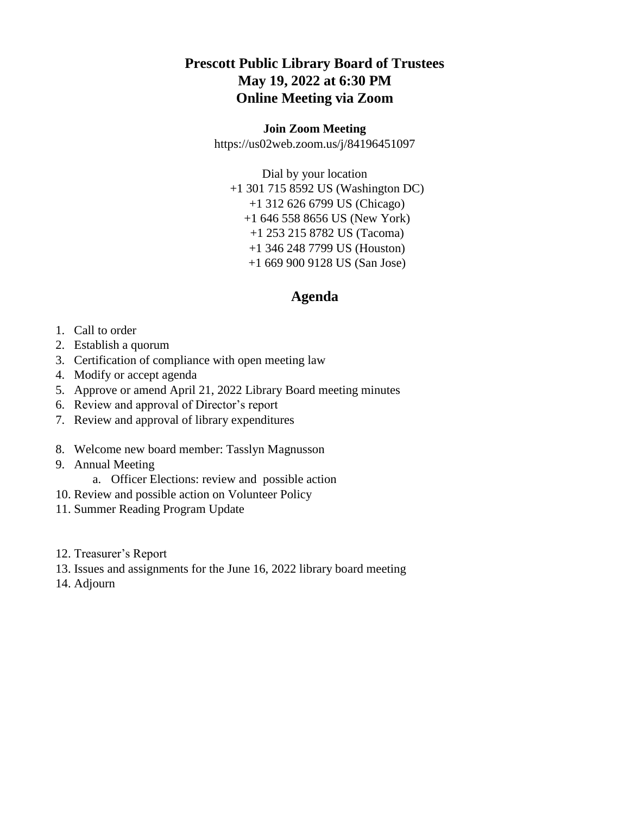## **Prescott Public Library Board of Trustees May 19, 2022 at 6:30 PM Online Meeting via Zoom**

## **Join Zoom Meeting**

https://us02web.zoom.us/j/84196451097

Dial by your location +1 301 715 8592 US (Washington DC) +1 312 626 6799 US (Chicago) +1 646 558 8656 US (New York) +1 253 215 8782 US (Tacoma) +1 346 248 7799 US (Houston) +1 669 900 9128 US (San Jose)

## **Agenda**

- 1. Call to order
- 2. Establish a quorum
- 3. Certification of compliance with open meeting law
- 4. Modify or accept agenda
- 5. Approve or amend April 21, 2022 Library Board meeting minutes
- 6. Review and approval of Director's report
- 7. Review and approval of library expenditures
- 8. Welcome new board member: Tasslyn Magnusson
- 9. Annual Meeting
	- a. Officer Elections: review and possible action
- 10. Review and possible action on Volunteer Policy
- 11. Summer Reading Program Update
- 12. Treasurer's Report
- 13. Issues and assignments for the June 16, 2022 library board meeting
- 14. Adjourn